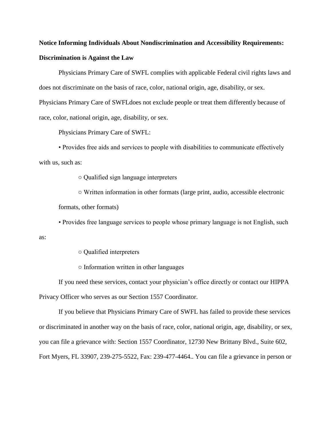## **Notice Informing Individuals About Nondiscrimination and Accessibility Requirements: Discrimination is Against the Law**

Physicians Primary Care of SWFL complies with applicable Federal civil rights laws and does not discriminate on the basis of race, color, national origin, age, disability, or sex. Physicians Primary Care of SWFLdoes not exclude people or treat them differently because of race, color, national origin, age, disability, or sex.

Physicians Primary Care of SWFL:

• Provides free aids and services to people with disabilities to communicate effectively with us, such as:

○ Qualified sign language interpreters

○ Written information in other formats (large print, audio, accessible electronic formats, other formats)

• Provides free language services to people whose primary language is not English, such

○ Qualified interpreters

as:

○ Information written in other languages

If you need these services, contact your physician's office directly or contact our HIPPA Privacy Officer who serves as our Section 1557 Coordinator.

If you believe that Physicians Primary Care of SWFL has failed to provide these services or discriminated in another way on the basis of race, color, national origin, age, disability, or sex, you can file a grievance with: Section 1557 Coordinator, 12730 New Brittany Blvd., Suite 602, Fort Myers, FL 33907, 239-275-5522, Fax: 239-477-4464.. You can file a grievance in person or